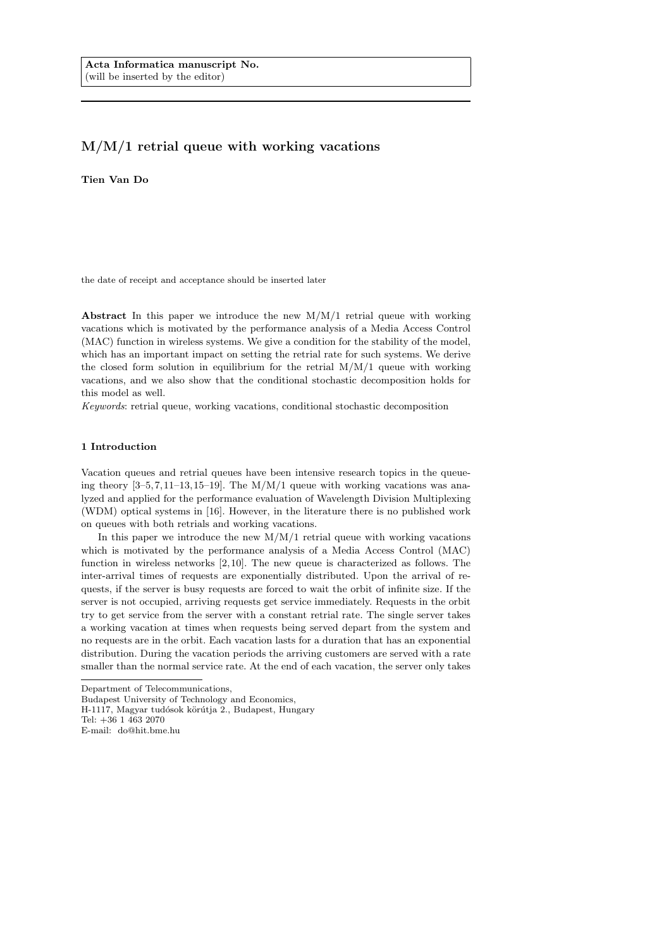# M/M/1 retrial queue with working vacations

Tien Van Do

the date of receipt and acceptance should be inserted later

Abstract In this paper we introduce the new  $M/M/1$  retrial queue with working vacations which is motivated by the performance analysis of a Media Access Control (MAC) function in wireless systems. We give a condition for the stability of the model, which has an important impact on setting the retrial rate for such systems. We derive the closed form solution in equilibrium for the retrial  $M/M/1$  queue with working vacations, and we also show that the conditional stochastic decomposition holds for this model as well.

Keywords: retrial queue, working vacations, conditional stochastic decomposition

#### 1 Introduction

Vacation queues and retrial queues have been intensive research topics in the queueing theory  $[3-5, 7, 11-13, 15-19]$ . The M/M/1 queue with working vacations was analyzed and applied for the performance evaluation of Wavelength Division Multiplexing (WDM) optical systems in [16]. However, in the literature there is no published work on queues with both retrials and working vacations.

In this paper we introduce the new  $M/M/1$  retrial queue with working vacations which is motivated by the performance analysis of a Media Access Control (MAC) function in wireless networks [2, 10]. The new queue is characterized as follows. The inter-arrival times of requests are exponentially distributed. Upon the arrival of requests, if the server is busy requests are forced to wait the orbit of infinite size. If the server is not occupied, arriving requests get service immediately. Requests in the orbit try to get service from the server with a constant retrial rate. The single server takes a working vacation at times when requests being served depart from the system and no requests are in the orbit. Each vacation lasts for a duration that has an exponential distribution. During the vacation periods the arriving customers are served with a rate smaller than the normal service rate. At the end of each vacation, the server only takes

E-mail: do@hit.bme.hu

Department of Telecommunications,

Budapest University of Technology and Economics,

H-1117, Magyar tudósok körútja 2., Budapest, Hungary

Tel: +36 1 463 2070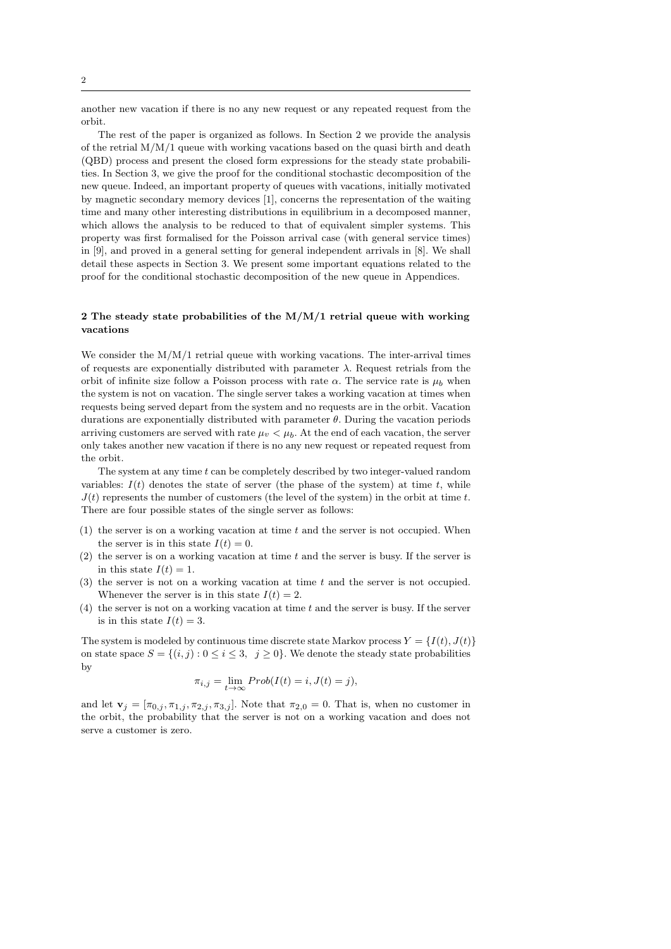another new vacation if there is no any new request or any repeated request from the orbit.

The rest of the paper is organized as follows. In Section 2 we provide the analysis of the retrial  $M/M/1$  queue with working vacations based on the quasi birth and death (QBD) process and present the closed form expressions for the steady state probabilities. In Section 3, we give the proof for the conditional stochastic decomposition of the new queue. Indeed, an important property of queues with vacations, initially motivated by magnetic secondary memory devices [1], concerns the representation of the waiting time and many other interesting distributions in equilibrium in a decomposed manner, which allows the analysis to be reduced to that of equivalent simpler systems. This property was first formalised for the Poisson arrival case (with general service times) in [9], and proved in a general setting for general independent arrivals in [8]. We shall detail these aspects in Section 3. We present some important equations related to the proof for the conditional stochastic decomposition of the new queue in Appendices.

## 2 The steady state probabilities of the  $M/M/1$  retrial queue with working vacations

We consider the  $M/M/1$  retrial queue with working vacations. The inter-arrival times of requests are exponentially distributed with parameter  $\lambda$ . Request retrials from the orbit of infinite size follow a Poisson process with rate  $\alpha$ . The service rate is  $\mu_b$  when the system is not on vacation. The single server takes a working vacation at times when requests being served depart from the system and no requests are in the orbit. Vacation durations are exponentially distributed with parameter  $\theta$ . During the vacation periods arriving customers are served with rate  $\mu_v < \mu_b$ . At the end of each vacation, the server only takes another new vacation if there is no any new request or repeated request from the orbit.

The system at any time t can be completely described by two integer-valued random variables:  $I(t)$  denotes the state of server (the phase of the system) at time t, while  $J(t)$  represents the number of customers (the level of the system) in the orbit at time t. There are four possible states of the single server as follows:

- $(1)$  the server is on a working vacation at time t and the server is not occupied. When the server is in this state  $I(t) = 0$ .
- $(2)$  the server is on a working vacation at time t and the server is busy. If the server is in this state  $I(t) = 1$ .
- $(3)$  the server is not on a working vacation at time t and the server is not occupied. Whenever the server is in this state  $I(t) = 2$ .
- (4) the server is not on a working vacation at time t and the server is busy. If the server is in this state  $I(t) = 3$ .

The system is modeled by continuous time discrete state Markov process  $Y = \{I(t), J(t)\}$ on state space  $S = \{(i, j) : 0 \le i \le 3, j \ge 0\}$ . We denote the steady state probabilities by

$$
\pi_{i,j} = \lim_{t \to \infty} Prob(I(t) = i, J(t) = j),
$$

and let  $\mathbf{v}_j = [\pi_{0,j}, \pi_{1,j}, \pi_{2,j}, \pi_{3,j}]$ . Note that  $\pi_{2,0} = 0$ . That is, when no customer in the orbit, the probability that the server is not on a working vacation and does not serve a customer is zero.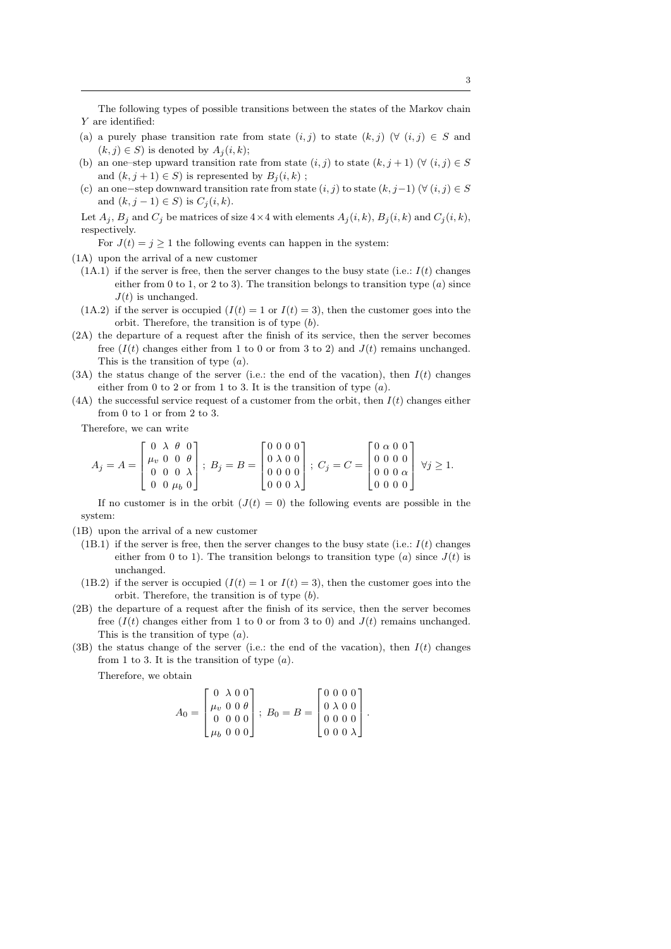The following types of possible transitions between the states of the Markov chain Y are identified:

- (a) a purely phase transition rate from state  $(i, j)$  to state  $(k, j)$  ( $\forall$   $(i, j) \in S$  and  $(k, j) \in S$ ) is denoted by  $A_i(i, k)$ ;
- (b) an one–step upward transition rate from state  $(i, j)$  to state  $(k, j + 1)$  ( $\forall$   $(i, j) \in S$ and  $(k, j + 1) \in S$ ) is represented by  $B_i(i, k)$ ;
- (c) an one-step downward transition rate from state  $(i, j)$  to state  $(k, j-1)$   $(∀ (i, j) ∈ S)$ and  $(k, j − 1) ∈ S$ ) is  $C<sub>j</sub>(i, k)$ .

Let  $A_j$ ,  $B_j$  and  $C_j$  be matrices of size  $4 \times 4$  with elements  $A_j(i, k)$ ,  $B_j(i, k)$  and  $C_j(i, k)$ , respectively.

For  $J(t) = j \geq 1$  the following events can happen in the system:

- (1A) upon the arrival of a new customer
	- $(1A.1)$  if the server is free, then the server changes to the busy state (i.e.:  $I(t)$  changes either from 0 to 1, or 2 to 3). The transition belongs to transition type  $(a)$  since  $J(t)$  is unchanged.
- $(1A.2)$  if the server is occupied  $(I(t) = 1 \text{ or } I(t) = 3)$ , then the customer goes into the orbit. Therefore, the transition is of type (b).
- (2A) the departure of a request after the finish of its service, then the server becomes free  $(I(t)$  changes either from 1 to 0 or from 3 to 2) and  $J(t)$  remains unchanged. This is the transition of type  $(a)$ .
- (3A) the status change of the server (i.e.: the end of the vacation), then  $I(t)$  changes either from 0 to 2 or from 1 to 3. It is the transition of type  $(a)$ .
- (4A) the successful service request of a customer from the orbit, then  $I(t)$  changes either from 0 to 1 or from 2 to 3.

Therefore, we can write

$$
A_j = A = \begin{bmatrix} 0 & \lambda & \theta & 0 \\ \mu_v & 0 & 0 & \theta \\ 0 & 0 & 0 & \lambda \\ 0 & 0 & \mu_b & 0 \end{bmatrix}; \ B_j = B = \begin{bmatrix} 0 & 0 & 0 & 0 \\ 0 & \lambda & 0 & 0 \\ 0 & 0 & 0 & 0 \\ 0 & 0 & 0 & \lambda \end{bmatrix}; \ C_j = C = \begin{bmatrix} 0 & \alpha & 0 & 0 \\ 0 & 0 & 0 & 0 \\ 0 & 0 & 0 & \alpha \\ 0 & 0 & 0 & 0 \end{bmatrix} \ \forall j \geq 1.
$$

If no customer is in the orbit  $(J(t) = 0)$  the following events are possible in the system:

- (1B) upon the arrival of a new customer
	- (1B.1) if the server is free, then the server changes to the busy state (i.e.:  $I(t)$  changes either from 0 to 1). The transition belongs to transition type (a) since  $J(t)$  is unchanged.
	- (1B.2) if the server is occupied  $(I(t) = 1 \text{ or } I(t) = 3)$ , then the customer goes into the orbit. Therefore, the transition is of type (b).
- (2B) the departure of a request after the finish of its service, then the server becomes free  $(I(t)$  changes either from 1 to 0 or from 3 to 0) and  $J(t)$  remains unchanged. This is the transition of type (a).
- (3B) the status change of the server (i.e.: the end of the vacation), then  $I(t)$  changes from 1 to 3. It is the transition of type  $(a)$ .

Therefore, we obtain

$$
A_0 = \begin{bmatrix} 0 & \lambda & 0 & 0 \\ \mu_v & 0 & 0 & \theta \\ 0 & 0 & 0 & 0 \\ \mu_b & 0 & 0 & 0 \end{bmatrix}; B_0 = B = \begin{bmatrix} 0 & 0 & 0 & 0 \\ 0 & \lambda & 0 & 0 \\ 0 & 0 & 0 & 0 \\ 0 & 0 & 0 & \lambda \end{bmatrix}.
$$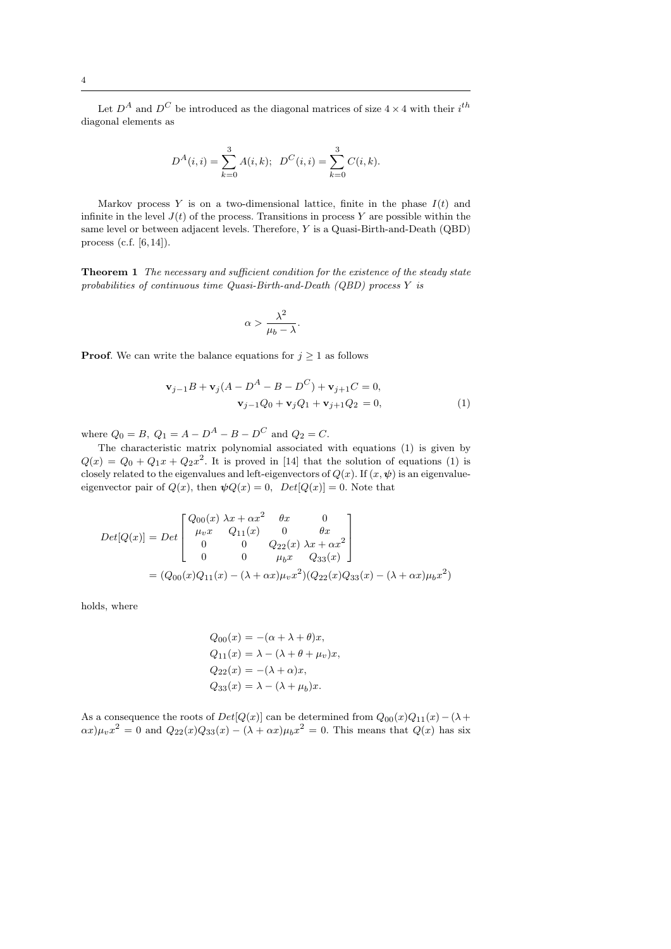Let  $D^A$  and  $D^C$  be introduced as the diagonal matrices of size  $4 \times 4$  with their  $i^{th}$ diagonal elements as

$$
D^{A}(i,i) = \sum_{k=0}^{3} A(i,k); \ \ D^{C}(i,i) = \sum_{k=0}^{3} C(i,k).
$$

Markov process  $Y$  is on a two-dimensional lattice, finite in the phase  $I(t)$  and infinite in the level  $J(t)$  of the process. Transitions in process Y are possible within the same level or between adjacent levels. Therefore, Y is a Quasi-Birth-and-Death (QBD) process (c.f. [6,14]).

Theorem 1 The necessary and sufficient condition for the existence of the steady state probabilities of continuous time Quasi-Birth-and-Death (QBD) process Y is

$$
\alpha > \frac{\lambda^2}{\mu_b - \lambda}.
$$

**Proof.** We can write the balance equations for  $j \geq 1$  as follows

$$
\mathbf{v}_{j-1}B + \mathbf{v}_j(A - D^A - B - D^C) + \mathbf{v}_{j+1}C = 0,
$$
  

$$
\mathbf{v}_{j-1}Q_0 + \mathbf{v}_jQ_1 + \mathbf{v}_{j+1}Q_2 = 0,
$$
 (1)

where  $Q_0 = B$ ,  $Q_1 = A - D^A - B - D^C$  and  $Q_2 = C$ .

The characteristic matrix polynomial associated with equations (1) is given by  $Q(x) = Q_0 + Q_1x + Q_2x^2$ . It is proved in [14] that the solution of equations (1) is closely related to the eigenvalues and left-eigenvectors of  $Q(x)$ . If  $(x, \psi)$  is an eigenvalueeigenvector pair of  $Q(x)$ , then  $\psi Q(x) = 0$ ,  $Det[Q(x)] = 0$ . Note that

$$
Det[Q(x)] = Det \begin{bmatrix} Q_{00}(x) \lambda x + \alpha x^2 & \theta x & 0 \\ \mu_v x & Q_{11}(x) & 0 & \theta x \\ 0 & 0 & Q_{22}(x) \lambda x + \alpha x^2 \\ 0 & 0 & \mu_b x & Q_{33}(x) \end{bmatrix}
$$
  
=  $(Q_{00}(x)Q_{11}(x) - (\lambda + \alpha x)\mu_v x^2)(Q_{22}(x)Q_{33}(x) - (\lambda + \alpha x)\mu_b x^2)$ 

holds, where

$$
Q_{00}(x) = -(\alpha + \lambda + \theta)x,
$$
  
\n
$$
Q_{11}(x) = \lambda - (\lambda + \theta + \mu_v)x,
$$
  
\n
$$
Q_{22}(x) = -(\lambda + \alpha)x,
$$
  
\n
$$
Q_{33}(x) = \lambda - (\lambda + \mu_b)x.
$$

As a consequence the roots of  $Det[Q(x)]$  can be determined from  $Q_{00}(x)Q_{11}(x) - (\lambda +$  $\alpha x)\mu_v x^2 = 0$  and  $Q_{22}(x)Q_{33}(x) - (\lambda + \alpha x)\mu_b x^2 = 0$ . This means that  $Q(x)$  has six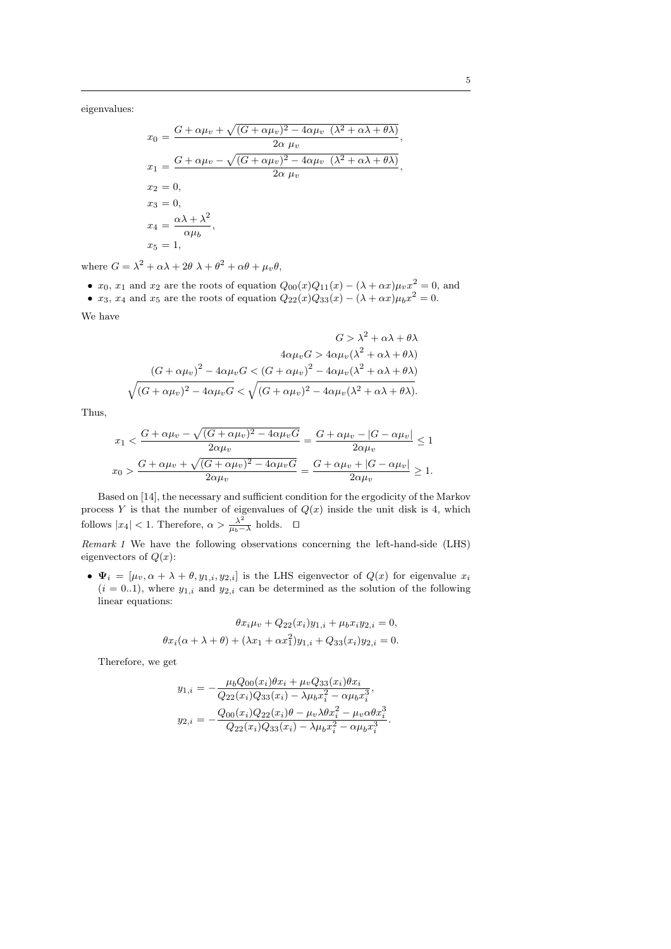eigenvalues:

$$
x_0 = \frac{G + \alpha \mu_v + \sqrt{(G + \alpha \mu_v)^2 - 4\alpha \mu_v (\lambda^2 + \alpha \lambda + \theta \lambda)}}{2\alpha \mu_v},
$$
  
\n
$$
x_1 = \frac{G + \alpha \mu_v - \sqrt{(G + \alpha \mu_v)^2 - 4\alpha \mu_v (\lambda^2 + \alpha \lambda + \theta \lambda)}}{2\alpha \mu_v},
$$
  
\n
$$
x_2 = 0,
$$
  
\n
$$
x_3 = 0,
$$
  
\n
$$
x_4 = \frac{\alpha \lambda + \lambda^2}{\alpha \mu_b},
$$
  
\n
$$
x_5 = 1,
$$

where  $G = \lambda^2 + \alpha \lambda + 2\theta \lambda + \theta^2 + \alpha \theta + \mu_v \theta$ ,

•  $x_0, x_1$  and  $x_2$  are the roots of equation  $Q_{00}(x)Q_{11}(x) - (\lambda + \alpha x)\mu_v x^2 = 0$ , and •  $x_3$ ,  $x_4$  and  $x_5$  are the roots of equation  $Q_{22}(x)Q_{33}(x) - (\lambda + \alpha x)\mu_b x^2 = 0$ .

We have

$$
G > \lambda^2 + \alpha \lambda + \theta \lambda
$$
  

$$
4\alpha\mu_v G > 4\alpha\mu_v (\lambda^2 + \alpha \lambda + \theta \lambda)
$$
  

$$
\sqrt{(G + \alpha\mu_v)^2 - 4\alpha\mu_v G} < (G + \alpha\mu_v)^2 - 4\alpha\mu_v (\lambda^2 + \alpha \lambda + \theta \lambda)
$$
  

$$
\sqrt{(G + \alpha\mu_v)^2 - 4\alpha\mu_v G} < \sqrt{(G + \alpha\mu_v)^2 - 4\alpha\mu_v (\lambda^2 + \alpha \lambda + \theta \lambda)}.
$$

Thus,

$$
x_1 < \frac{G + \alpha \mu_v - \sqrt{(G + \alpha \mu_v)^2 - 4\alpha \mu_v G}}{2\alpha \mu_v} = \frac{G + \alpha \mu_v - |G - \alpha \mu_v|}{2\alpha \mu_v} \le 1
$$
\n
$$
x_0 > \frac{G + \alpha \mu_v + \sqrt{(G + \alpha \mu_v)^2 - 4\alpha \mu_v G}}{2\alpha \mu_v} = \frac{G + \alpha \mu_v + |G - \alpha \mu_v|}{2\alpha \mu_v} \ge 1.
$$

Based on [14], the necessary and sufficient condition for the ergodicity of the Markov process Y is that the number of eigenvalues of  $Q(x)$  inside the unit disk is 4, which follows  $|x_4|$  < 1. Therefore,  $\alpha > \frac{\lambda^2}{\mu_b - \lambda}$  $\frac{\lambda^2}{\mu_b - \lambda}$  holds. □

Remark 1 We have the following observations concerning the left-hand-side (LHS) eigenvectors of  $Q(x)$ :

•  $\Psi_i = [\mu_v, \alpha + \lambda + \theta, y_{1,i}, y_{2,i}]$  is the LHS eigenvector of  $Q(x)$  for eigenvalue  $x_i$  $(i = 0..1)$ , where  $y_{1,i}$  and  $y_{2,i}$  can be determined as the solution of the following linear equations:

$$
\theta x_i \mu_v + Q_{22}(x_i) y_{1,i} + \mu_b x_i y_{2,i} = 0,
$$
  

$$
\theta x_i(\alpha + \lambda + \theta) + (\lambda x_1 + \alpha x_1^2) y_{1,i} + Q_{33}(x_i) y_{2,i} = 0.
$$

Therefore, we get

$$
y_{1,i} = -\frac{\mu_b Q_{00}(x_i)\theta x_i + \mu_v Q_{33}(x_i)\theta x_i}{Q_{22}(x_i)Q_{33}(x_i) - \lambda\mu_b x_i^2 - \alpha\mu_b x_i^3},
$$
  

$$
y_{2,i} = -\frac{Q_{00}(x_i)Q_{22}(x_i)\theta - \mu_v \lambda\theta x_i^2 - \mu_v \alpha\theta x_i^3}{Q_{22}(x_i)Q_{33}(x_i) - \lambda\mu_b x_i^2 - \alpha\mu_b x_i^3}.
$$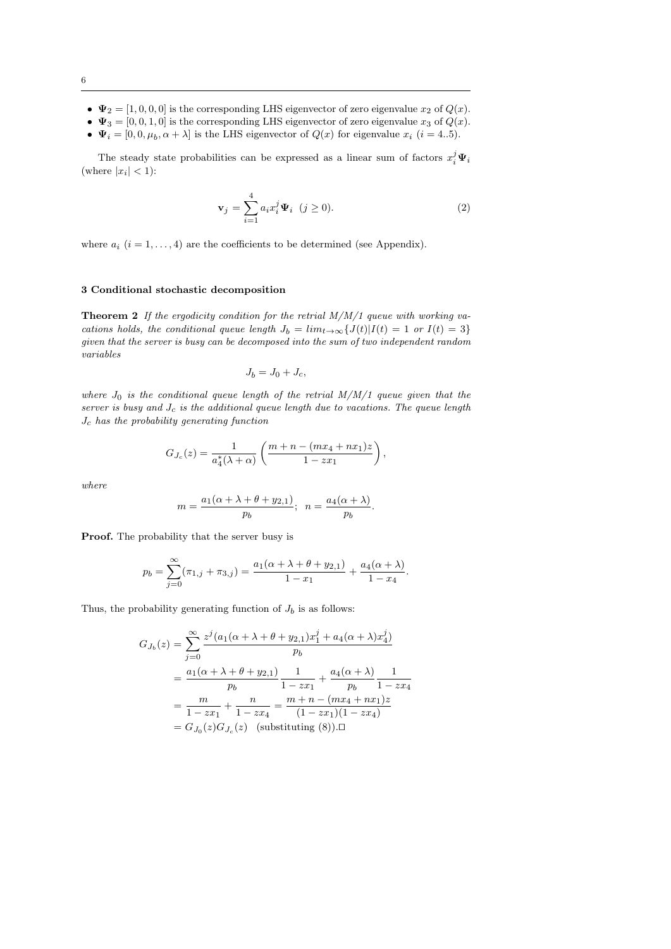- $\Psi_2 = [1, 0, 0, 0]$  is the corresponding LHS eigenvector of zero eigenvalue  $x_2$  of  $Q(x)$ .
- $\Psi_3 = [0, 0, 1, 0]$  is the corresponding LHS eigenvector of zero eigenvalue  $x_3$  of  $Q(x)$ .
- $\Psi_i = [0, 0, \mu_b, \alpha + \lambda]$  is the LHS eigenvector of  $Q(x)$  for eigenvalue  $x_i$   $(i = 4..5)$ .

The steady state probabilities can be expressed as a linear sum of factors  $x_i^j \Psi_i$ (where  $|x_i|$  < 1):

$$
\mathbf{v}_j = \sum_{i=1}^4 a_i x_i^j \Psi_i \quad (j \ge 0).
$$
 (2)

where  $a_i$   $(i = 1, ..., 4)$  are the coefficients to be determined (see Appendix).

## 3 Conditional stochastic decomposition

**Theorem 2** If the ergodicity condition for the retrial  $M/M/1$  queue with working vacations holds, the conditional queue length  $J_b = \lim_{t\to\infty} {J(t)|I(t) = 1 \text{ or } I(t) = 3}$ given that the server is busy can be decomposed into the sum of two independent random variables

$$
J_b = J_0 + J_c,
$$

where  $J_0$  is the conditional queue length of the retrial  $M/M/1$  queue given that the server is busy and  $J_c$  is the additional queue length due to vacations. The queue length  $J_c$  has the probability generating function

$$
G_{J_c}(z) = \frac{1}{a_4^*(\lambda + \alpha)} \left( \frac{m + n - (mx_4 + nx_1)z}{1 - zx_1} \right),\,
$$

where

$$
m = \frac{a_1(\alpha + \lambda + \theta + y_{2,1})}{p_b}; \ \ n = \frac{a_4(\alpha + \lambda)}{p_b}.
$$

Proof. The probability that the server busy is

$$
p_b = \sum_{j=0}^{\infty} (\pi_{1,j} + \pi_{3,j}) = \frac{a_1(\alpha + \lambda + \theta + y_{2,1})}{1 - x_1} + \frac{a_4(\alpha + \lambda)}{1 - x_4}
$$

.

Thus, the probability generating function of  $J_b$  is as follows:

$$
G_{J_b}(z) = \sum_{j=0}^{\infty} \frac{z^j (a_1(\alpha + \lambda + \theta + y_{2,1})x_1^j + a_4(\alpha + \lambda)x_4^j)}{p_b}
$$
  
= 
$$
\frac{a_1(\alpha + \lambda + \theta + y_{2,1})}{p_b} \frac{1}{1 - zx_1} + \frac{a_4(\alpha + \lambda)}{p_b} \frac{1}{1 - zx_4}
$$
  
= 
$$
\frac{m}{1 - zx_1} + \frac{n}{1 - zx_4} = \frac{m + n - (mx_4 + nx_1)z}{(1 - zx_1)(1 - zx_4)}
$$
  
= 
$$
G_{J_0}(z)G_{J_c}(z)
$$
 (substituting (8)).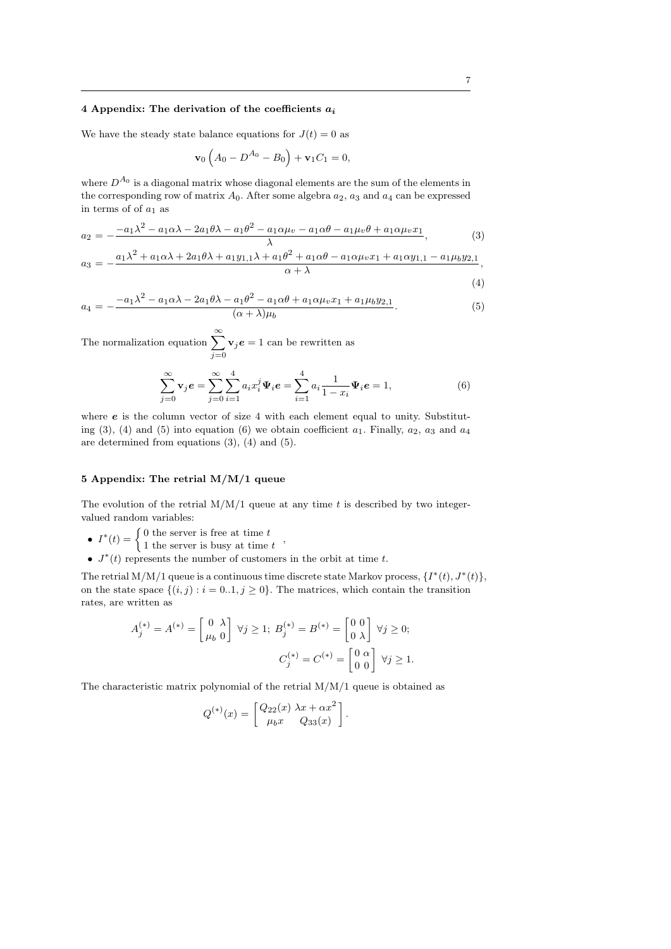### 4 Appendix: The derivation of the coefficients  $a_i$

We have the steady state balance equations for  $J(t) = 0$  as

$$
\mathbf{v}_0 \left( A_0 - D^{A_0} - B_0 \right) + \mathbf{v}_1 C_1 = 0,
$$

where  $D^{A_0}$  is a diagonal matrix whose diagonal elements are the sum of the elements in the corresponding row of matrix  $A_0$ . After some algebra  $a_2$ ,  $a_3$  and  $a_4$  can be expressed in terms of of  $a_1$  as

$$
a_2 = -\frac{-a_1\lambda^2 - a_1\alpha\lambda - 2a_1\theta\lambda - a_1\theta^2 - a_1\alpha\mu_v - a_1\alpha\theta - a_1\mu_v\theta + a_1\alpha\mu_v x_1}{\lambda},
$$
(3)

$$
a_3 = -\frac{a_1\lambda^2 + a_1\alpha\lambda + 2a_1\theta\lambda + a_1y_{1,1}\lambda + a_1\theta^2 + a_1\alpha\theta - a_1\alpha\mu_v x_1 + a_1\alpha y_{1,1} - a_1\mu_b y_{2,1}}{\alpha + \lambda},
$$
\n(4)

$$
a_4 = -\frac{-a_1\lambda^2 - a_1\alpha\lambda - 2a_1\theta\lambda - a_1\theta^2 - a_1\alpha\theta + a_1\alpha\mu_v x_1 + a_1\mu_b y_2}{(\alpha + \lambda)\mu_b}.
$$
 (5)

The normalization equation  $\sum_{n=0}^{\infty}$  $j=0$  $v_j e = 1$  can be rewritten as

$$
\sum_{j=0}^{\infty} \mathbf{v}_j e = \sum_{j=0}^{\infty} \sum_{i=1}^{4} a_i x_i^j \Psi_i e = \sum_{i=1}^{4} a_i \frac{1}{1 - x_i} \Psi_i e = 1,
$$
\n(6)

where  $e$  is the column vector of size 4 with each element equal to unity. Substituting (3), (4) and (5) into equation (6) we obtain coefficient  $a_1$ . Finally,  $a_2$ ,  $a_3$  and  $a_4$ are determined from equations (3), (4) and (5).

## 5 Appendix: The retrial M/M/1 queue

The evolution of the retrial  $M/M/1$  queue at any time t is described by two integervalued random variables:

- $I^*(t) = \begin{cases} 0 \text{ the server is free at time } t \\ 1 \text{ the server is known, there is a time } t \end{cases}$
- 1 the server is busy at time  $t$ ,
- $J^*(t)$  represents the number of customers in the orbit at time t.

The retrial M/M/1 queue is a continuous time discrete state Markov process,  $\{I^*(t), J^*(t)\},$ on the state space  $\{(i, j) : i = 0..1, j \ge 0\}$ . The matrices, which contain the transition rates, are written as

$$
A_j^{(*)} = A^{(*)} = \begin{bmatrix} 0 & \lambda \\ \mu_b & 0 \end{bmatrix} \ \forall j \ge 1; \ B_j^{(*)} = B^{(*)} = \begin{bmatrix} 0 & 0 \\ 0 & \lambda \end{bmatrix} \ \forall j \ge 0;
$$
\n
$$
C_j^{(*)} = C^{(*)} = \begin{bmatrix} 0 & \alpha \\ 0 & 0 \end{bmatrix} \ \forall j \ge 1.
$$

The characteristic matrix polynomial of the retrial  $M/M/1$  queue is obtained as

$$
Q^{(*)}(x) = \begin{bmatrix} Q_{22}(x) \lambda x + \alpha x^2 \\ \mu_b x & Q_{33}(x) \end{bmatrix}.
$$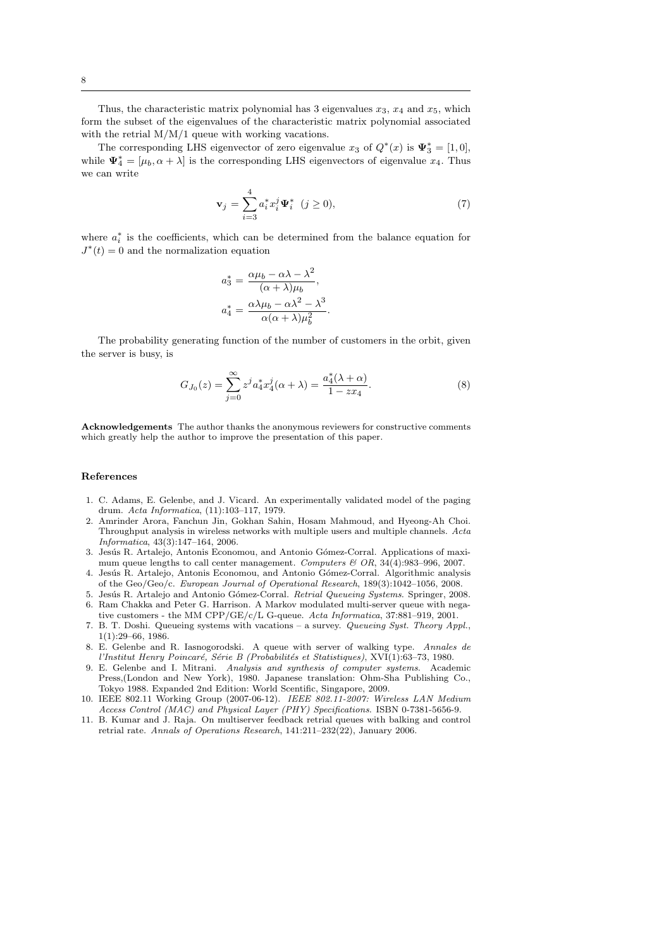Thus, the characteristic matrix polynomial has 3 eigenvalues  $x_3$ ,  $x_4$  and  $x_5$ , which form the subset of the eigenvalues of the characteristic matrix polynomial associated with the retrial  $M/M/1$  queue with working vacations.

The corresponding LHS eigenvector of zero eigenvalue  $x_3$  of  $Q^*(x)$  is  $\Psi_3^* = [1,0],$ while  $\Psi_4^* = [\mu_b, \alpha + \lambda]$  is the corresponding LHS eigenvectors of eigenvalue  $x_4$ . Thus we can write

$$
\mathbf{v}_{j} = \sum_{i=3}^{4} a_{i}^{*} x_{i}^{j} \Psi_{i}^{*} \quad (j \ge 0), \tag{7}
$$

where  $a_i^*$  is the coefficients, which can be determined from the balance equation for  $J^*(t) = 0$  and the normalization equation

$$
a_3^* = \frac{\alpha \mu_b - \alpha \lambda - \lambda^2}{(\alpha + \lambda)\mu_b},
$$

$$
a_4^* = \frac{\alpha \lambda \mu_b - \alpha \lambda^2 - \lambda^3}{\alpha(\alpha + \lambda)\mu_b^2}.
$$

The probability generating function of the number of customers in the orbit, given the server is busy, is

$$
G_{J_0}(z) = \sum_{j=0}^{\infty} z^j a_4^* x_4^j(\alpha + \lambda) = \frac{a_4^*(\lambda + \alpha)}{1 - z x_4}.
$$
 (8)

Acknowledgements The author thanks the anonymous reviewers for constructive comments which greatly help the author to improve the presentation of this paper.

#### References

- 1. C. Adams, E. Gelenbe, and J. Vicard. An experimentally validated model of the paging drum. Acta Informatica, (11):103–117, 1979.
- 2. Amrinder Arora, Fanchun Jin, Gokhan Sahin, Hosam Mahmoud, and Hyeong-Ah Choi. Throughput analysis in wireless networks with multiple users and multiple channels. Acta Informatica, 43(3):147–164, 2006.
- 3. Jesús R. Artalejo, Antonis Economou, and Antonio Gómez-Corral. Applications of maximum queue lengths to call center management. Computers  $\mathcal{B}$  OR, 34(4):983–996, 2007.
- 4. Jesús R. Artalejo, Antonis Economou, and Antonio Gómez-Corral. Algorithmic analysis of the Geo/Geo/c. European Journal of Operational Research, 189(3):1042–1056, 2008.
- 5. Jesús R. Artalejo and Antonio Gómez-Corral. Retrial Queueing Systems. Springer, 2008.
- 6. Ram Chakka and Peter G. Harrison. A Markov modulated multi-server queue with negative customers - the MM CPP/GE/c/L G-queue. Acta Informatica, 37:881–919, 2001.
- 7. B. T. Doshi. Queueing systems with vacations a survey. Queueing Syst. Theory Appl., 1(1):29–66, 1986.
- 8. E. Gelenbe and R. Iasnogorodski. A queue with server of walking type. Annales de l'Institut Henry Poincaré, Série B (Probabilités et Statistiques), XVI(1):63-73, 1980.
- 9. E. Gelenbe and I. Mitrani. Analysis and synthesis of computer systems. Academic Press,(London and New York), 1980. Japanese translation: Ohm-Sha Publishing Co., Tokyo 1988. Expanded 2nd Edition: World Scentific, Singapore, 2009.
- 10. IEEE 802.11 Working Group (2007-06-12). IEEE 802.11-2007: Wireless LAN Medium Access Control (MAC) and Physical Layer (PHY) Specifications. ISBN 0-7381-5656-9.
- 11. B. Kumar and J. Raja. On multiserver feedback retrial queues with balking and control retrial rate. Annals of Operations Research, 141:211–232(22), January 2006.